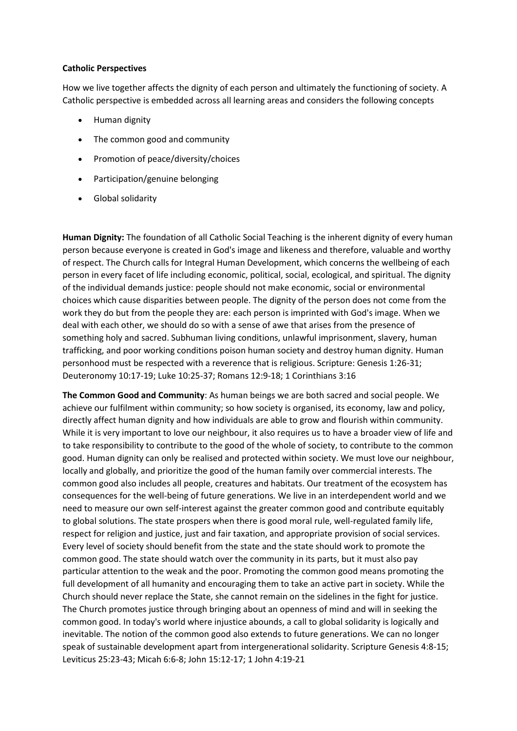## **Catholic Perspectives**

How we live together affects the dignity of each person and ultimately the functioning of society. A Catholic perspective is embedded across all learning areas and considers the following concepts

- Human dignity
- The common good and community
- Promotion of peace/diversity/choices
- Participation/genuine belonging
- Global solidarity

**Human Dignity:** The foundation of all Catholic Social Teaching is the inherent dignity of every human person because everyone is created in God's image and likeness and therefore, valuable and worthy of respect. The Church calls for Integral Human Development, which concerns the wellbeing of each person in every facet of life including economic, political, social, ecological, and spiritual. The dignity of the individual demands justice: people should not make economic, social or environmental choices which cause disparities between people. The dignity of the person does not come from the work they do but from the people they are: each person is imprinted with God's image. When we deal with each other, we should do so with a sense of awe that arises from the presence of something holy and sacred. Subhuman living conditions, unlawful imprisonment, slavery, human trafficking, and poor working conditions poison human society and destroy human dignity. Human personhood must be respected with a reverence that is religious. Scripture: Genesis 1:26-31; Deuteronomy 10:17-19; Luke 10:25-37; Romans 12:9-18; 1 Corinthians 3:16

**The Common Good and Community**: As human beings we are both sacred and social people. We achieve our fulfilment within community; so how society is organised, its economy, law and policy, directly affect human dignity and how individuals are able to grow and flourish within community. While it is very important to love our neighbour, it also requires us to have a broader view of life and to take responsibility to contribute to the good of the whole of society, to contribute to the common good. Human dignity can only be realised and protected within society. We must love our neighbour, locally and globally, and prioritize the good of the human family over commercial interests. The common good also includes all people, creatures and habitats. Our treatment of the ecosystem has consequences for the well-being of future generations. We live in an interdependent world and we need to measure our own self-interest against the greater common good and contribute equitably to global solutions. The state prospers when there is good moral rule, well-regulated family life, respect for religion and justice, just and fair taxation, and appropriate provision of social services. Every level of society should benefit from the state and the state should work to promote the common good. The state should watch over the community in its parts, but it must also pay particular attention to the weak and the poor. Promoting the common good means promoting the full development of all humanity and encouraging them to take an active part in society. While the Church should never replace the State, she cannot remain on the sidelines in the fight for justice. The Church promotes justice through bringing about an openness of mind and will in seeking the common good. In today's world where injustice abounds, a call to global solidarity is logically and inevitable. The notion of the common good also extends to future generations. We can no longer speak of sustainable development apart from intergenerational solidarity. Scripture Genesis 4:8-15; Leviticus 25:23-43; Micah 6:6-8; John 15:12-17; 1 John 4:19-21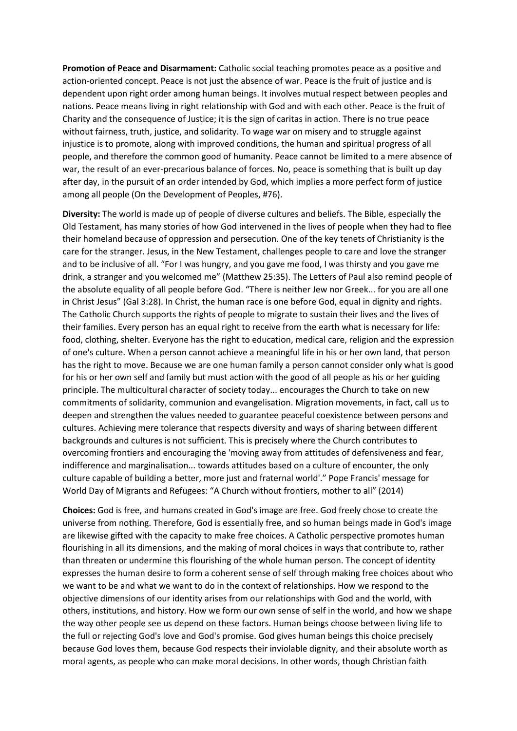**Promotion of Peace and Disarmament:** Catholic social teaching promotes peace as a positive and action-oriented concept. Peace is not just the absence of war. Peace is the fruit of justice and is dependent upon right order among human beings. It involves mutual respect between peoples and nations. Peace means living in right relationship with God and with each other. Peace is the fruit of Charity and the consequence of Justice; it is the sign of caritas in action. There is no true peace without fairness, truth, justice, and solidarity. To wage war on misery and to struggle against injustice is to promote, along with improved conditions, the human and spiritual progress of all people, and therefore the common good of humanity. Peace cannot be limited to a mere absence of war, the result of an ever-precarious balance of forces. No, peace is something that is built up day after day, in the pursuit of an order intended by God, which implies a more perfect form of justice among all people (On the Development of Peoples, #76).

**Diversity:** The world is made up of people of diverse cultures and beliefs. The Bible, especially the Old Testament, has many stories of how God intervened in the lives of people when they had to flee their homeland because of oppression and persecution. One of the key tenets of Christianity is the care for the stranger. Jesus, in the New Testament, challenges people to care and love the stranger and to be inclusive of all. "For I was hungry, and you gave me food, I was thirsty and you gave me drink, a stranger and you welcomed me" (Matthew 25:35). The Letters of Paul also remind people of the absolute equality of all people before God. "There is neither Jew nor Greek... for you are all one in Christ Jesus" (Gal 3:28). In Christ, the human race is one before God, equal in dignity and rights. The Catholic Church supports the rights of people to migrate to sustain their lives and the lives of their families. Every person has an equal right to receive from the earth what is necessary for life: food, clothing, shelter. Everyone has the right to education, medical care, religion and the expression of one's culture. When a person cannot achieve a meaningful life in his or her own land, that person has the right to move. Because we are one human family a person cannot consider only what is good for his or her own self and family but must action with the good of all people as his or her guiding principle. The multicultural character of society today... encourages the Church to take on new commitments of solidarity, communion and evangelisation. Migration movements, in fact, call us to deepen and strengthen the values needed to guarantee peaceful coexistence between persons and cultures. Achieving mere tolerance that respects diversity and ways of sharing between different backgrounds and cultures is not sufficient. This is precisely where the Church contributes to overcoming frontiers and encouraging the 'moving away from attitudes of defensiveness and fear, indifference and marginalisation... towards attitudes based on a culture of encounter, the only culture capable of building a better, more just and fraternal world'." Pope Francis' message for World Day of Migrants and Refugees: "A Church without frontiers, mother to all" (2014)

**Choices:** God is free, and humans created in God's image are free. God freely chose to create the universe from nothing. Therefore, God is essentially free, and so human beings made in God's image are likewise gifted with the capacity to make free choices. A Catholic perspective promotes human flourishing in all its dimensions, and the making of moral choices in ways that contribute to, rather than threaten or undermine this flourishing of the whole human person. The concept of identity expresses the human desire to form a coherent sense of self through making free choices about who we want to be and what we want to do in the context of relationships. How we respond to the objective dimensions of our identity arises from our relationships with God and the world, with others, institutions, and history. How we form our own sense of self in the world, and how we shape the way other people see us depend on these factors. Human beings choose between living life to the full or rejecting God's love and God's promise. God gives human beings this choice precisely because God loves them, because God respects their inviolable dignity, and their absolute worth as moral agents, as people who can make moral decisions. In other words, though Christian faith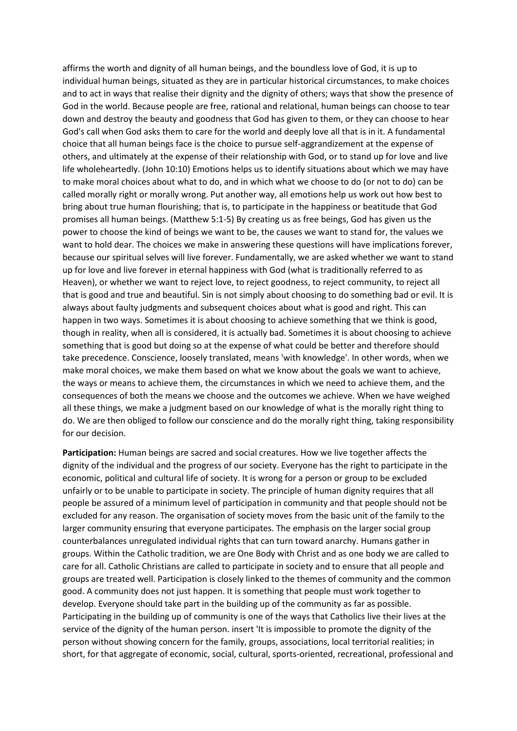affirms the worth and dignity of all human beings, and the boundless love of God, it is up to individual human beings, situated as they are in particular historical circumstances, to make choices and to act in ways that realise their dignity and the dignity of others; ways that show the presence of God in the world. Because people are free, rational and relational, human beings can choose to tear down and destroy the beauty and goodness that God has given to them, or they can choose to hear God's call when God asks them to care for the world and deeply love all that is in it. A fundamental choice that all human beings face is the choice to pursue self-aggrandizement at the expense of others, and ultimately at the expense of their relationship with God, or to stand up for love and live life wholeheartedly. (John 10:10) Emotions helps us to identify situations about which we may have to make moral choices about what to do, and in which what we choose to do (or not to do) can be called morally right or morally wrong. Put another way, all emotions help us work out how best to bring about true human flourishing; that is, to participate in the happiness or beatitude that God promises all human beings. (Matthew 5:1-5) By creating us as free beings, God has given us the power to choose the kind of beings we want to be, the causes we want to stand for, the values we want to hold dear. The choices we make in answering these questions will have implications forever, because our spiritual selves will live forever. Fundamentally, we are asked whether we want to stand up for love and live forever in eternal happiness with God (what is traditionally referred to as Heaven), or whether we want to reject love, to reject goodness, to reject community, to reject all that is good and true and beautiful. Sin is not simply about choosing to do something bad or evil. It is always about faulty judgments and subsequent choices about what is good and right. This can happen in two ways. Sometimes it is about choosing to achieve something that we think is good, though in reality, when all is considered, it is actually bad. Sometimes it is about choosing to achieve something that is good but doing so at the expense of what could be better and therefore should take precedence. Conscience, loosely translated, means 'with knowledge'. In other words, when we make moral choices, we make them based on what we know about the goals we want to achieve, the ways or means to achieve them, the circumstances in which we need to achieve them, and the consequences of both the means we choose and the outcomes we achieve. When we have weighed all these things, we make a judgment based on our knowledge of what is the morally right thing to do. We are then obliged to follow our conscience and do the morally right thing, taking responsibility for our decision.

**Participation:** Human beings are sacred and social creatures. How we live together affects the dignity of the individual and the progress of our society. Everyone has the right to participate in the economic, political and cultural life of society. It is wrong for a person or group to be excluded unfairly or to be unable to participate in society. The principle of human dignity requires that all people be assured of a minimum level of participation in community and that people should not be excluded for any reason. The organisation of society moves from the basic unit of the family to the larger community ensuring that everyone participates. The emphasis on the larger social group counterbalances unregulated individual rights that can turn toward anarchy. Humans gather in groups. Within the Catholic tradition, we are One Body with Christ and as one body we are called to care for all. Catholic Christians are called to participate in society and to ensure that all people and groups are treated well. Participation is closely linked to the themes of community and the common good. A community does not just happen. It is something that people must work together to develop. Everyone should take part in the building up of the community as far as possible. Participating in the building up of community is one of the ways that Catholics live their lives at the service of the dignity of the human person. insert 'It is impossible to promote the dignity of the person without showing concern for the family, groups, associations, local territorial realities; in short, for that aggregate of economic, social, cultural, sports-oriented, recreational, professional and